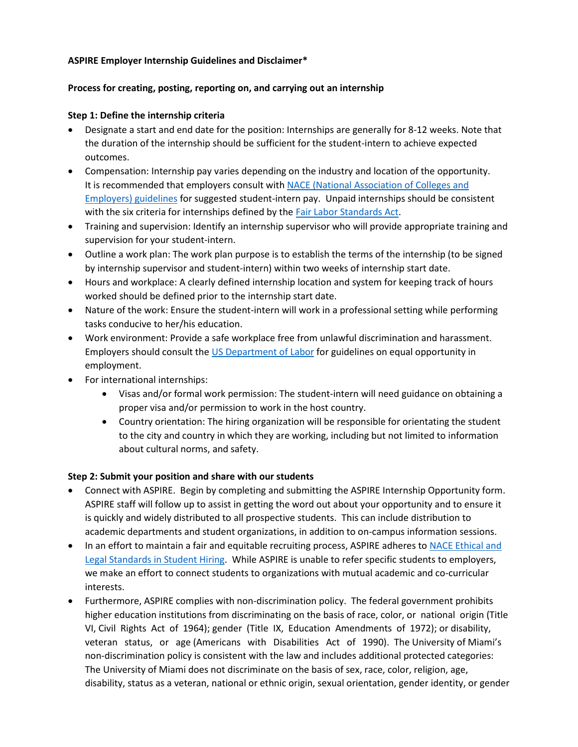## **ASPIRE Employer Internship Guidelines and Disclaimer\***

## **Process for creating, posting, reporting on, and carrying out an internship**

## **Step 1: Define the internship criteria**

- Designate a start and end date for the position: Internships are generally for 8-12 weeks. Note that the duration of the internship should be sufficient for the student-intern to achieve expected outcomes.
- Compensation: Internship pay varies depending on the industry and location of the opportunity. It is recommended that employers consult with [NACE \(National Association of Colleges and](https://www.naceweb.org/talent-acquisition/internships/key-factors-to-consider-when-setting-intern-salaries/)  [Employers\) guidelines](https://www.naceweb.org/talent-acquisition/internships/key-factors-to-consider-when-setting-intern-salaries/) for suggested student-intern pay. Unpaid internships should be consistent with the six criteria for internships defined by the [Fair Labor Standards Act.](https://www.dol.gov/whd/regs/compliance/whdfs71.htm)
- Training and supervision: Identify an internship supervisor who will provide appropriate training and supervision for your student-intern.
- Outline a work plan: The work plan purpose is to establish the terms of the internship (to be signed by internship supervisor and student-intern) within two weeks of internship start date.
- Hours and workplace: A clearly defined internship location and system for keeping track of hours worked should be defined prior to the internship start date.
- Nature of the work: Ensure the student-intern will work in a professional setting while performing tasks conducive to her/his education.
- Work environment: Provide a safe workplace free from unlawful discrimination and harassment. Employers should consult the [US Department of Labor](https://webapps.dol.gov/elaws/elg/discrim.htm) for guidelines on equal opportunity in employment.
- For international internships:
	- Visas and/or formal work permission: The student-intern will need guidance on obtaining a proper visa and/or permission to work in the host country.
	- Country orientation: The hiring organization will be responsible for orientating the student to the city and country in which they are working, including but not limited to information about cultural norms, and safety.

# **Step 2: Submit your position and share with our students**

- Connect with ASPIRE. Begin by completing and submitting the ASPIRE Internship Opportunity form. ASPIRE staff will follow up to assist in getting the word out about your opportunity and to ensure it is quickly and widely distributed to all prospective students. This can include distribution to academic departments and student organizations, in addition to on-campus information sessions.
- In an effort to maintain a fair and equitable recruiting process, ASPIRE adheres to NACE Ethical and [Legal Standards in Student Hiring.](http://www.naceweb.org/career-development/organizational-structure/a-faculty-guide-to-ethical-and-legal-standards-in-student-hiring/) While ASPIRE is unable to refer specific students to employers, we make an effort to connect students to organizations with mutual academic and co-curricular interests.
- Furthermore, ASPIRE complies with non-discrimination policy. The federal government prohibits higher education institutions from discriminating on the basis of race, color, or national origin (Title VI, Civil Rights Act of 1964); gender (Title IX, Education Amendments of 1972); or disability, veteran status, or age (Americans with Disabilities Act of 1990). The University of Miami's non-discrimination policy is consistent with the law and includes additional protected categories: The University of Miami does not discriminate on the basis of sex, race, color, religion, age, disability, status as a veteran, national or ethnic origin, sexual orientation, gender identity, or gender